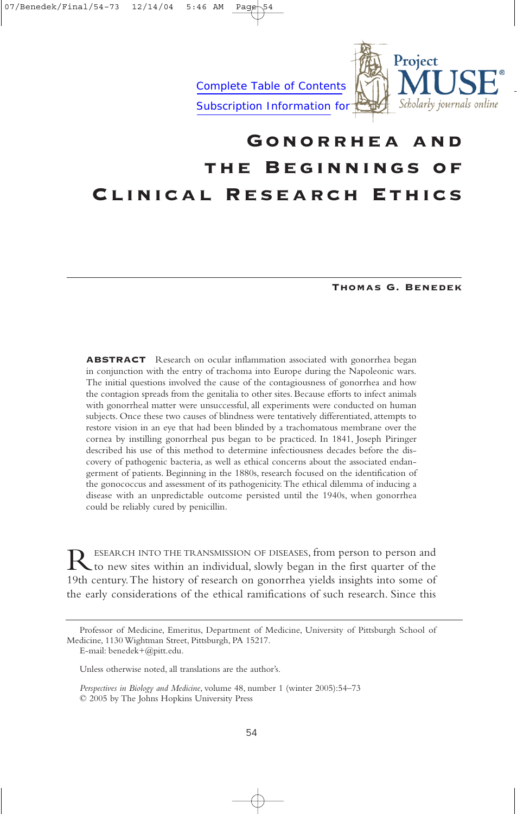[Complete Table of Contents](http://muse.jhu.edu/journals/perspectives_in_biology_and_medicine/toc/pbm48.1.html) [Subscription](http://muse.jhu.edu/about/subscriptions/index.html) Information for



# Gonorrhea and the Beginnings of Clinical Research Ethics

Thomas G. Benedek

ABSTRACT Research on ocular inflammation associated with gonorrhea began in conjunction with the entry of trachoma into Europe during the Napoleonic wars. The initial questions involved the cause of the contagiousness of gonorrhea and how the contagion spreads from the genitalia to other sites. Because efforts to infect animals with gonorrheal matter were unsuccessful, all experiments were conducted on human subjects. Once these two causes of blindness were tentatively differentiated, attempts to restore vision in an eye that had been blinded by a trachomatous membrane over the cornea by instilling gonorrheal pus began to be practiced. In 1841, Joseph Piringer described his use of this method to determine infectiousness decades before the discovery of pathogenic bacteria, as well as ethical concerns about the associated endangerment of patients. Beginning in the 1880s, research focused on the identification of the gonococcus and assessment of its pathogenicity.The ethical dilemma of inducing a disease with an unpredictable outcome persisted until the 1940s, when gonorrhea could be reliably cured by penicillin.

RESEARCH INTO THE TRANSMISSION OF DISEASES, from person to person and<br>to new sites within an individual, slowly began in the first quarter of the 19th century.The history of research on gonorrhea yields insights into some of the early considerations of the ethical ramifications of such research. Since this

E-mail: benedek+@pitt.edu.

Professor of Medicine, Emeritus, Department of Medicine, University of Pittsburgh School of Medicine, 1130 Wightman Street, Pittsburgh, PA 15217.

Unless otherwise noted, all translations are the author's.

*Perspectives in Biology and Medicine*, volume 48, number 1 (winter 2005):54–73 © 2005 by The Johns Hopkins University Press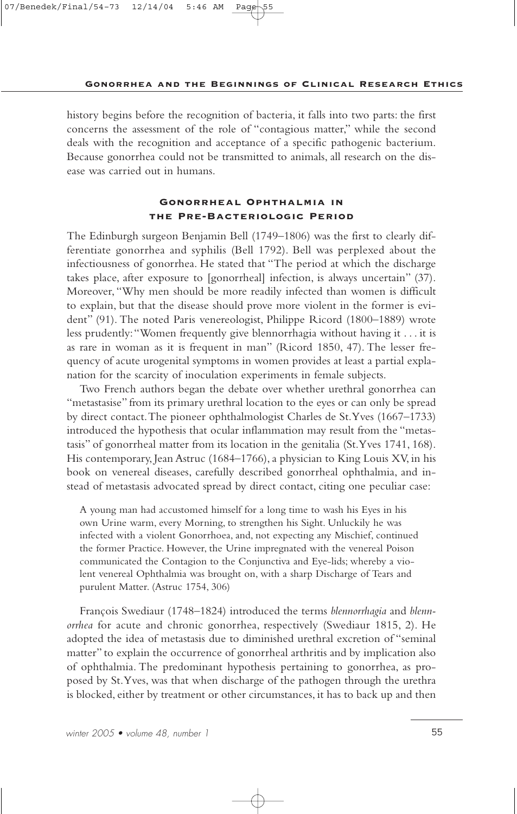history begins before the recognition of bacteria, it falls into two parts: the first concerns the assessment of the role of "contagious matter," while the second deals with the recognition and acceptance of a specific pathogenic bacterium. Because gonorrhea could not be transmitted to animals, all research on the disease was carried out in humans.

## Gonorrheal Ophthalmia in the Pre-Bacteriologic Period

The Edinburgh surgeon Benjamin Bell (1749–1806) was the first to clearly differentiate gonorrhea and syphilis (Bell 1792). Bell was perplexed about the infectiousness of gonorrhea. He stated that "The period at which the discharge takes place, after exposure to [gonorrheal] infection, is always uncertain" (37). Moreover, "Why men should be more readily infected than women is difficult to explain, but that the disease should prove more violent in the former is evident" (91). The noted Paris venereologist, Philippe Ricord (1800–1889) wrote less prudently:"Women frequently give blennorrhagia without having it . . . it is as rare in woman as it is frequent in man" (Ricord 1850, 47). The lesser frequency of acute urogenital symptoms in women provides at least a partial explanation for the scarcity of inoculation experiments in female subjects.

Two French authors began the debate over whether urethral gonorrhea can "metastasise" from its primary urethral location to the eyes or can only be spread by direct contact.The pioneer ophthalmologist Charles de St.Yves (1667–1733) introduced the hypothesis that ocular inflammation may result from the "metastasis" of gonorrheal matter from its location in the genitalia (St.Yves 1741, 168). His contemporary, Jean Astruc (1684–1766), a physician to King Louis XV, in his book on venereal diseases, carefully described gonorrheal ophthalmia, and instead of metastasis advocated spread by direct contact, citing one peculiar case:

A young man had accustomed himself for a long time to wash his Eyes in his own Urine warm, every Morning, to strengthen his Sight. Unluckily he was infected with a violent Gonorrhoea, and, not expecting any Mischief, continued the former Practice. However, the Urine impregnated with the venereal Poison communicated the Contagion to the Conjunctiva and Eye-lids; whereby a violent venereal Ophthalmia was brought on, with a sharp Discharge of Tears and purulent Matter. (Astruc 1754, 306)

François Swediaur (1748–1824) introduced the terms *blennorrhagia* and *blennorrhea* for acute and chronic gonorrhea, respectively (Swediaur 1815, 2). He adopted the idea of metastasis due to diminished urethral excretion of "seminal matter" to explain the occurrence of gonorrheal arthritis and by implication also of ophthalmia. The predominant hypothesis pertaining to gonorrhea, as proposed by St.Yves, was that when discharge of the pathogen through the urethra is blocked, either by treatment or other circumstances, it has to back up and then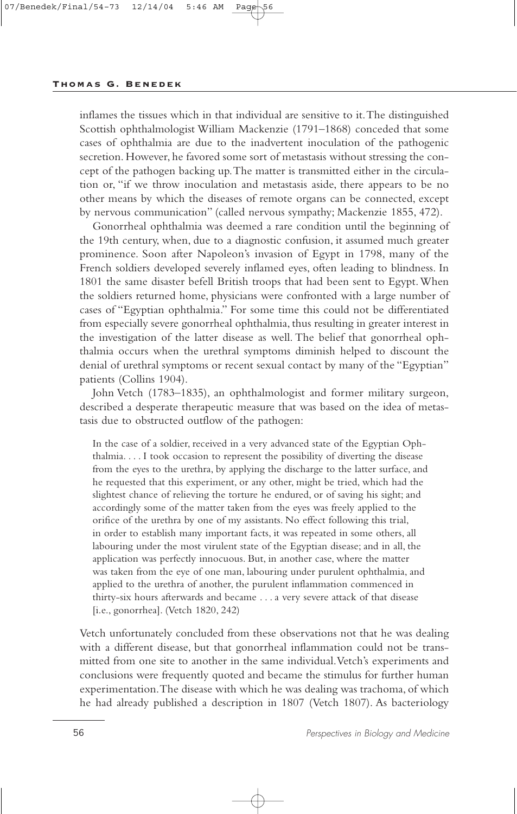inflames the tissues which in that individual are sensitive to it.The distinguished Scottish ophthalmologist William Mackenzie (1791–1868) conceded that some cases of ophthalmia are due to the inadvertent inoculation of the pathogenic secretion. However, he favored some sort of metastasis without stressing the concept of the pathogen backing up.The matter is transmitted either in the circulation or, "if we throw inoculation and metastasis aside, there appears to be no other means by which the diseases of remote organs can be connected, except by nervous communication" (called nervous sympathy; Mackenzie 1855, 472).

Gonorrheal ophthalmia was deemed a rare condition until the beginning of the 19th century, when, due to a diagnostic confusion, it assumed much greater prominence. Soon after Napoleon's invasion of Egypt in 1798, many of the French soldiers developed severely inflamed eyes, often leading to blindness. In 1801 the same disaster befell British troops that had been sent to Egypt.When the soldiers returned home, physicians were confronted with a large number of cases of "Egyptian ophthalmia." For some time this could not be differentiated from especially severe gonorrheal ophthalmia, thus resulting in greater interest in the investigation of the latter disease as well. The belief that gonorrheal ophthalmia occurs when the urethral symptoms diminish helped to discount the denial of urethral symptoms or recent sexual contact by many of the "Egyptian" patients (Collins 1904).

John Vetch (1783–1835), an ophthalmologist and former military surgeon, described a desperate therapeutic measure that was based on the idea of metastasis due to obstructed outflow of the pathogen:

In the case of a soldier, received in a very advanced state of the Egyptian Ophthalmia. . . . I took occasion to represent the possibility of diverting the disease from the eyes to the urethra, by applying the discharge to the latter surface, and he requested that this experiment, or any other, might be tried, which had the slightest chance of relieving the torture he endured, or of saving his sight; and accordingly some of the matter taken from the eyes was freely applied to the orifice of the urethra by one of my assistants. No effect following this trial, in order to establish many important facts, it was repeated in some others, all labouring under the most virulent state of the Egyptian disease; and in all, the application was perfectly innocuous. But, in another case, where the matter was taken from the eye of one man, labouring under purulent ophthalmia, and applied to the urethra of another, the purulent inflammation commenced in thirty-six hours afterwards and became . . . a very severe attack of that disease [i.e., gonorrhea]. (Vetch 1820, 242)

Vetch unfortunately concluded from these observations not that he was dealing with a different disease, but that gonorrheal inflammation could not be transmitted from one site to another in the same individual.Vetch's experiments and conclusions were frequently quoted and became the stimulus for further human experimentation.The disease with which he was dealing was trachoma, of which he had already published a description in 1807 (Vetch 1807). As bacteriology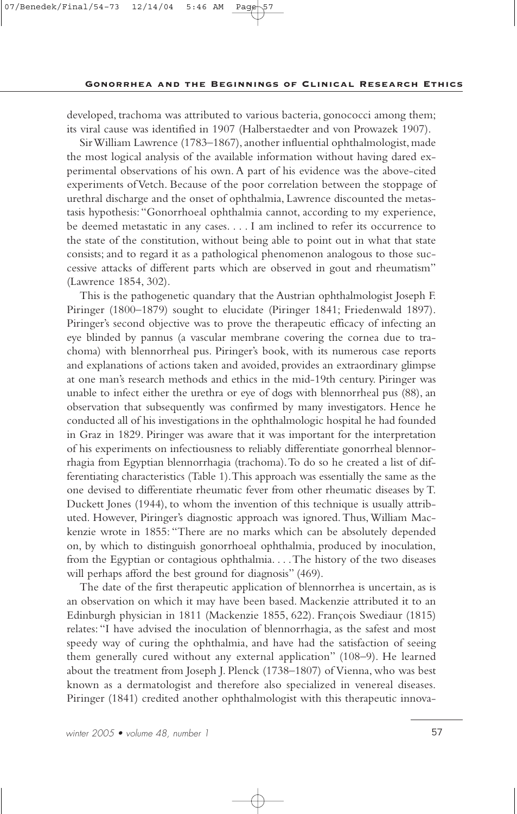developed, trachoma was attributed to various bacteria, gonococci among them; its viral cause was identified in 1907 (Halberstaedter and von Prowazek 1907).

Sir William Lawrence (1783–1867), another influential ophthalmologist, made the most logical analysis of the available information without having dared experimental observations of his own. A part of his evidence was the above-cited experiments of Vetch. Because of the poor correlation between the stoppage of urethral discharge and the onset of ophthalmia, Lawrence discounted the metastasis hypothesis:"Gonorrhoeal ophthalmia cannot, according to my experience, be deemed metastatic in any cases. . . . I am inclined to refer its occurrence to the state of the constitution, without being able to point out in what that state consists; and to regard it as a pathological phenomenon analogous to those successive attacks of different parts which are observed in gout and rheumatism" (Lawrence 1854, 302).

This is the pathogenetic quandary that the Austrian ophthalmologist Joseph F. Piringer (1800–1879) sought to elucidate (Piringer 1841; Friedenwald 1897). Piringer's second objective was to prove the therapeutic efficacy of infecting an eye blinded by pannus (a vascular membrane covering the cornea due to trachoma) with blennorrheal pus. Piringer's book, with its numerous case reports and explanations of actions taken and avoided, provides an extraordinary glimpse at one man's research methods and ethics in the mid-19th century. Piringer was unable to infect either the urethra or eye of dogs with blennorrheal pus (88), an observation that subsequently was confirmed by many investigators. Hence he conducted all of his investigations in the ophthalmologic hospital he had founded in Graz in 1829. Piringer was aware that it was important for the interpretation of his experiments on infectiousness to reliably differentiate gonorrheal blennorrhagia from Egyptian blennorrhagia (trachoma).To do so he created a list of differentiating characteristics (Table 1).This approach was essentially the same as the one devised to differentiate rheumatic fever from other rheumatic diseases by T. Duckett Jones (1944), to whom the invention of this technique is usually attributed. However, Piringer's diagnostic approach was ignored.Thus,William Mackenzie wrote in 1855: "There are no marks which can be absolutely depended on, by which to distinguish gonorrhoeal ophthalmia, produced by inoculation, from the Egyptian or contagious ophthalmia. . . .The history of the two diseases will perhaps afford the best ground for diagnosis" (469).

The date of the first therapeutic application of blennorrhea is uncertain, as is an observation on which it may have been based. Mackenzie attributed it to an Edinburgh physician in 1811 (Mackenzie 1855, 622). François Swediaur (1815) relates: "I have advised the inoculation of blennorrhagia, as the safest and most speedy way of curing the ophthalmia, and have had the satisfaction of seeing them generally cured without any external application" (108–9). He learned about the treatment from Joseph J. Plenck (1738–1807) of Vienna, who was best known as a dermatologist and therefore also specialized in venereal diseases. Piringer (1841) credited another ophthalmologist with this therapeutic innova-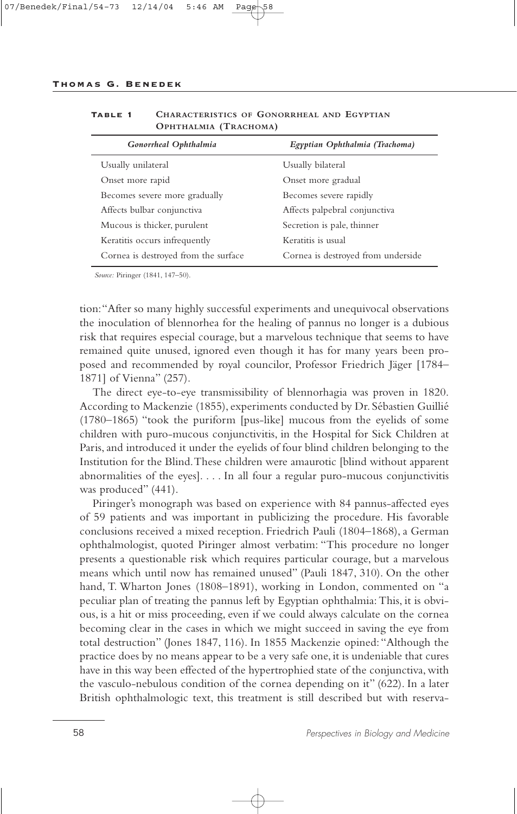| Gonorrheal Ophthalmia                | Egyptian Ophthalmia (Trachoma)     |
|--------------------------------------|------------------------------------|
| Usually unilateral                   | Usually bilateral                  |
| Onset more rapid                     | Onset more gradual                 |
| Becomes severe more gradually        | Becomes severe rapidly             |
| Affects bulbar conjunctiva           | Affects palpebral conjunctiva      |
| Mucous is thicker, purulent          | Secretion is pale, thinner         |
| Keratitis occurs infrequently        | Keratitis is usual                 |
| Cornea is destroyed from the surface | Cornea is destroyed from underside |

Table 1 **CHARACTERISTICS OF GONORRHEAL AND EGYPTIAN OPHTHALMIA (TRACHOMA)**

*Source:* Piringer (1841, 147–50).

tion:"After so many highly successful experiments and unequivocal observations the inoculation of blennorhea for the healing of pannus no longer is a dubious risk that requires especial courage, but a marvelous technique that seems to have remained quite unused, ignored even though it has for many years been proposed and recommended by royal councilor, Professor Friedrich Jäger [1784– 1871] of Vienna" (257).

The direct eye-to-eye transmissibility of blennorhagia was proven in 1820. According to Mackenzie (1855), experiments conducted by Dr. Sébastien Guillié (1780–1865) "took the puriform [pus-like] mucous from the eyelids of some children with puro-mucous conjunctivitis, in the Hospital for Sick Children at Paris, and introduced it under the eyelids of four blind children belonging to the Institution for the Blind.These children were amaurotic [blind without apparent abnormalities of the eyes]. . . . In all four a regular puro-mucous conjunctivitis was produced" (441).

Piringer's monograph was based on experience with 84 pannus-affected eyes of 59 patients and was important in publicizing the procedure. His favorable conclusions received a mixed reception. Friedrich Pauli (1804–1868), a German ophthalmologist, quoted Piringer almost verbatim: "This procedure no longer presents a questionable risk which requires particular courage, but a marvelous means which until now has remained unused" (Pauli 1847, 310). On the other hand, T. Wharton Jones (1808–1891), working in London, commented on "a peculiar plan of treating the pannus left by Egyptian ophthalmia: This, it is obvious, is a hit or miss proceeding, even if we could always calculate on the cornea becoming clear in the cases in which we might succeed in saving the eye from total destruction" (Jones 1847, 116). In 1855 Mackenzie opined:"Although the practice does by no means appear to be a very safe one, it is undeniable that cures have in this way been effected of the hypertrophied state of the conjunctiva, with the vasculo-nebulous condition of the cornea depending on it" (622). In a later British ophthalmologic text, this treatment is still described but with reserva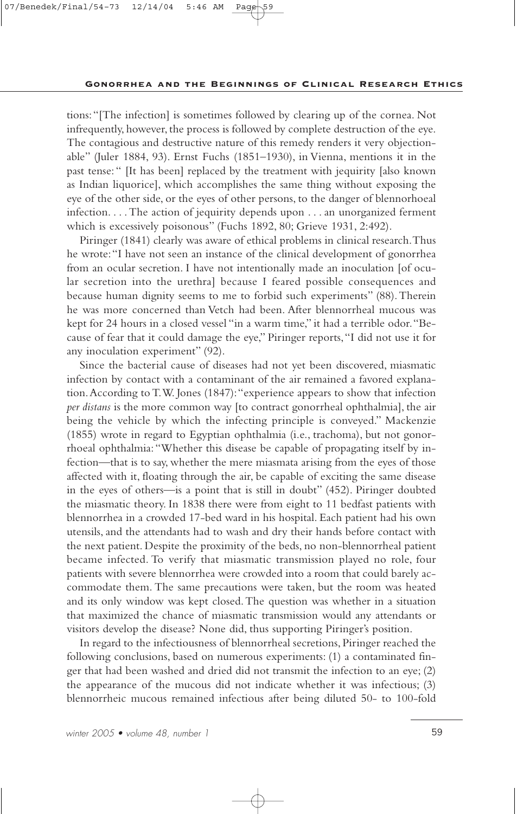tions:"[The infection] is sometimes followed by clearing up of the cornea. Not infrequently, however, the process is followed by complete destruction of the eye. The contagious and destructive nature of this remedy renders it very objectionable" (Juler 1884, 93). Ernst Fuchs (1851–1930), in Vienna, mentions it in the past tense:" [It has been] replaced by the treatment with jequirity [also known as Indian liquorice], which accomplishes the same thing without exposing the eye of the other side, or the eyes of other persons, to the danger of blennorhoeal infection. . . .The action of jequirity depends upon . . . an unorganized ferment which is excessively poisonous" (Fuchs 1892, 80; Grieve 1931, 2:492).

Piringer (1841) clearly was aware of ethical problems in clinical research.Thus he wrote:"I have not seen an instance of the clinical development of gonorrhea from an ocular secretion. I have not intentionally made an inoculation [of ocular secretion into the urethra] because I feared possible consequences and because human dignity seems to me to forbid such experiments" (88).Therein he was more concerned than Vetch had been. After blennorrheal mucous was kept for 24 hours in a closed vessel "in a warm time," it had a terrible odor."Because of fear that it could damage the eye," Piringer reports,"I did not use it for any inoculation experiment" (92).

Since the bacterial cause of diseases had not yet been discovered, miasmatic infection by contact with a contaminant of the air remained a favored explanation.According to T.W. Jones (1847):"experience appears to show that infection *per distans* is the more common way [to contract gonorrheal ophthalmia], the air being the vehicle by which the infecting principle is conveyed." Mackenzie (1855) wrote in regard to Egyptian ophthalmia (i.e., trachoma), but not gonorrhoeal ophthalmia:"Whether this disease be capable of propagating itself by infection—that is to say, whether the mere miasmata arising from the eyes of those affected with it, floating through the air, be capable of exciting the same disease in the eyes of others—is a point that is still in doubt" (452). Piringer doubted the miasmatic theory. In 1838 there were from eight to 11 bedfast patients with blennorrhea in a crowded 17-bed ward in his hospital. Each patient had his own utensils, and the attendants had to wash and dry their hands before contact with the next patient. Despite the proximity of the beds, no non-blennorrheal patient became infected. To verify that miasmatic transmission played no role, four patients with severe blennorrhea were crowded into a room that could barely accommodate them. The same precautions were taken, but the room was heated and its only window was kept closed.The question was whether in a situation that maximized the chance of miasmatic transmission would any attendants or visitors develop the disease? None did, thus supporting Piringer's position.

In regard to the infectiousness of blennorrheal secretions, Piringer reached the following conclusions, based on numerous experiments: (1) a contaminated finger that had been washed and dried did not transmit the infection to an eye; (2) the appearance of the mucous did not indicate whether it was infectious; (3) blennorrheic mucous remained infectious after being diluted 50- to 100-fold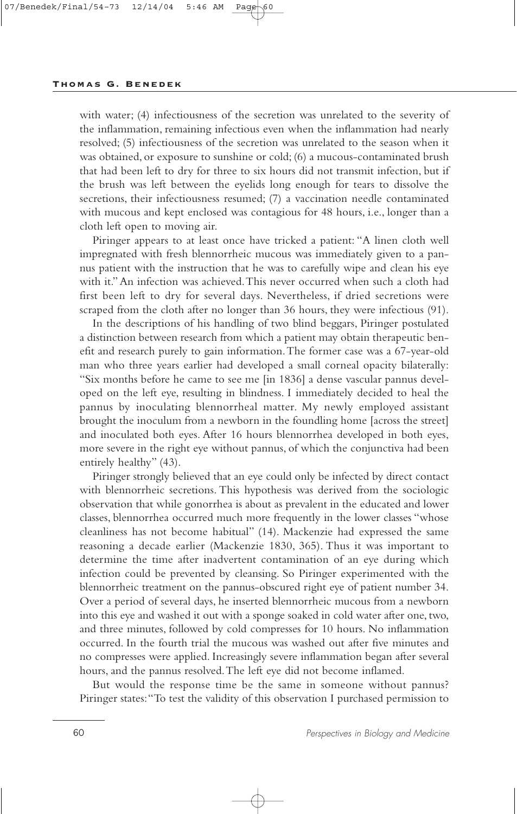with water; (4) infectiousness of the secretion was unrelated to the severity of the inflammation, remaining infectious even when the inflammation had nearly resolved; (5) infectiousness of the secretion was unrelated to the season when it was obtained, or exposure to sunshine or cold; (6) a mucous-contaminated brush that had been left to dry for three to six hours did not transmit infection, but if the brush was left between the eyelids long enough for tears to dissolve the secretions, their infectiousness resumed; (7) a vaccination needle contaminated with mucous and kept enclosed was contagious for 48 hours, i.e., longer than a cloth left open to moving air.

Piringer appears to at least once have tricked a patient: "A linen cloth well impregnated with fresh blennorrheic mucous was immediately given to a pannus patient with the instruction that he was to carefully wipe and clean his eye with it."An infection was achieved.This never occurred when such a cloth had first been left to dry for several days. Nevertheless, if dried secretions were scraped from the cloth after no longer than 36 hours, they were infectious (91).

In the descriptions of his handling of two blind beggars, Piringer postulated a distinction between research from which a patient may obtain therapeutic benefit and research purely to gain information.The former case was a 67-year-old man who three years earlier had developed a small corneal opacity bilaterally: "Six months before he came to see me [in 1836] a dense vascular pannus developed on the left eye, resulting in blindness. I immediately decided to heal the pannus by inoculating blennorrheal matter. My newly employed assistant brought the inoculum from a newborn in the foundling home [across the street] and inoculated both eyes. After 16 hours blennorrhea developed in both eyes, more severe in the right eye without pannus, of which the conjunctiva had been entirely healthy" (43).

Piringer strongly believed that an eye could only be infected by direct contact with blennorrheic secretions. This hypothesis was derived from the sociologic observation that while gonorrhea is about as prevalent in the educated and lower classes, blennorrhea occurred much more frequently in the lower classes "whose cleanliness has not become habitual" (14). Mackenzie had expressed the same reasoning a decade earlier (Mackenzie 1830, 365). Thus it was important to determine the time after inadvertent contamination of an eye during which infection could be prevented by cleansing. So Piringer experimented with the blennorrheic treatment on the pannus-obscured right eye of patient number 34. Over a period of several days, he inserted blennorrheic mucous from a newborn into this eye and washed it out with a sponge soaked in cold water after one, two, and three minutes, followed by cold compresses for 10 hours. No inflammation occurred. In the fourth trial the mucous was washed out after five minutes and no compresses were applied. Increasingly severe inflammation began after several hours, and the pannus resolved.The left eye did not become inflamed.

But would the response time be the same in someone without pannus? Piringer states:"To test the validity of this observation I purchased permission to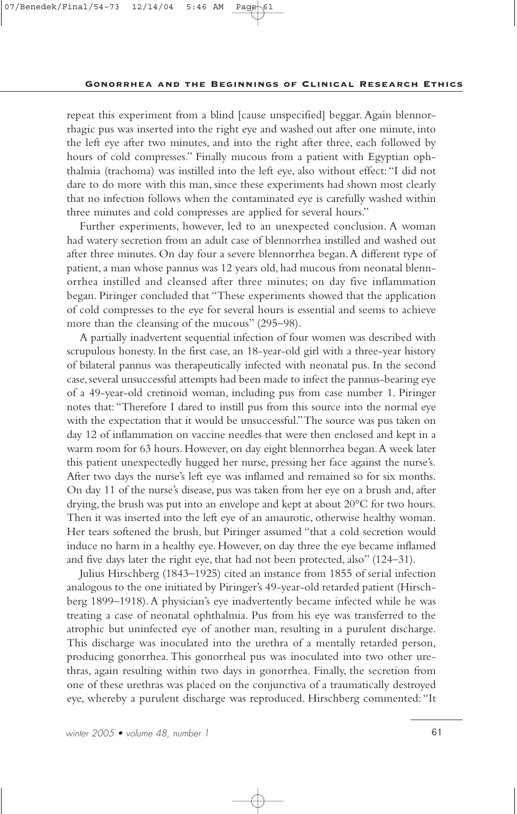repeat this experiment from a blind [cause unspecified] beggar. Again blennorrhagic pus was inserted into the right eye and washed out after one minute, into the left eye after two minutes, and into the right after three, each followed by hours of cold compresses." Finally mucous from a patient with Egyptian ophthalmia (trachoma) was instilled into the left eye, also without effect:"I did not dare to do more with this man, since these experiments had shown most clearly that no infection follows when the contaminated eye is carefully washed within three minutes and cold compresses are applied for several hours."

Further experiments, however, led to an unexpected conclusion. A woman had watery secretion from an adult case of blennorrhea instilled and washed out after three minutes. On day four a severe blennorrhea began.A different type of patient, a man whose pannus was 12 years old, had mucous from neonatal blennorrhea instilled and cleansed after three minutes; on day five inflammation began. Piringer concluded that "These experiments showed that the application of cold compresses to the eye for several hours is essential and seems to achieve more than the cleansing of the mucous" (295–98).

A partially inadvertent sequential infection of four women was described with scrupulous honesty. In the first case, an 18-year-old girl with a three-year history of bilateral pannus was therapeutically infected with neonatal pus. In the second case, several unsuccessful attempts had been made to infect the pannus-bearing eye of a 49-year-old cretinoid woman, including pus from case number 1. Piringer notes that:"Therefore I dared to instill pus from this source into the normal eye with the expectation that it would be unsuccessful."The source was pus taken on day 12 of inflammation on vaccine needles that were then enclosed and kept in a warm room for 63 hours. However, on day eight blennorrhea began.A week later this patient unexpectedly hugged her nurse, pressing her face against the nurse's. After two days the nurse's left eye was inflamed and remained so for six months. On day 11 of the nurse's disease, pus was taken from her eye on a brush and, after drying, the brush was put into an envelope and kept at about 20°C for two hours. Then it was inserted into the left eye of an amaurotic, otherwise healthy woman. Her tears softened the brush, but Piringer assumed "that a cold secretion would induce no harm in a healthy eye. However, on day three the eye became inflamed and five days later the right eye, that had not been protected, also" (124–31).

Julius Hirschberg (1843–1925) cited an instance from 1855 of serial infection analogous to the one initiated by Piringer's 49-year-old retarded patient (Hirschberg 1899–1918).A physician's eye inadvertently became infected while he was treating a case of neonatal ophthalmia. Pus from his eye was transferred to the atrophic but uninfected eye of another man, resulting in a purulent discharge. This discharge was inoculated into the urethra of a mentally retarded person, producing gonorrhea. This gonorrheal pus was inoculated into two other urethras, again resulting within two days in gonorrhea. Finally, the secretion from one of these urethras was placed on the conjunctiva of a traumatically destroyed eye, whereby a purulent discharge was reproduced. Hirschberg commented: "It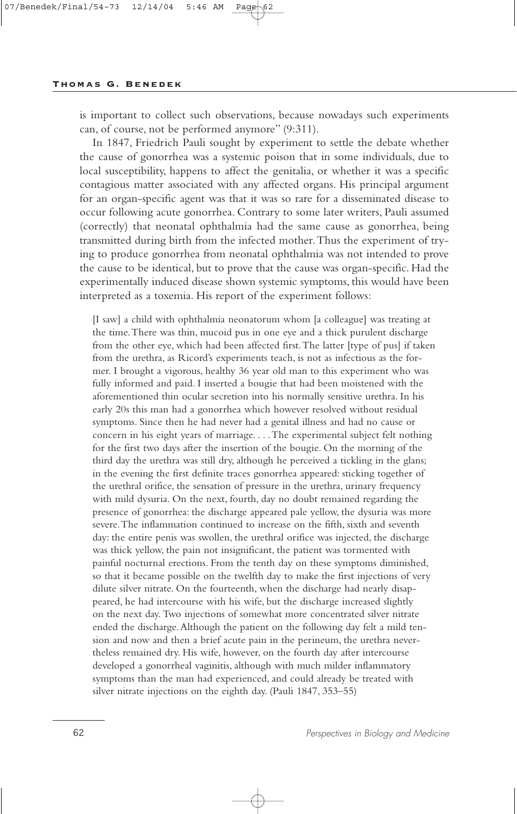is important to collect such observations, because nowadays such experiments can, of course, not be performed anymore" (9:311).

In 1847, Friedrich Pauli sought by experiment to settle the debate whether the cause of gonorrhea was a systemic poison that in some individuals, due to local susceptibility, happens to affect the genitalia, or whether it was a specific contagious matter associated with any affected organs. His principal argument for an organ-specific agent was that it was so rare for a disseminated disease to occur following acute gonorrhea. Contrary to some later writers, Pauli assumed (correctly) that neonatal ophthalmia had the same cause as gonorrhea, being transmitted during birth from the infected mother.Thus the experiment of trying to produce gonorrhea from neonatal ophthalmia was not intended to prove the cause to be identical, but to prove that the cause was organ-specific. Had the experimentally induced disease shown systemic symptoms, this would have been interpreted as a toxemia. His report of the experiment follows:

[I saw] a child with ophthalmia neonatorum whom [a colleague] was treating at the time.There was thin, mucoid pus in one eye and a thick purulent discharge from the other eye, which had been affected first.The latter [type of pus] if taken from the urethra, as Ricord's experiments teach, is not as infectious as the former. I brought a vigorous, healthy 36 year old man to this experiment who was fully informed and paid. I inserted a bougie that had been moistened with the aforementioned thin ocular secretion into his normally sensitive urethra. In his early 20s this man had a gonorrhea which however resolved without residual symptoms. Since then he had never had a genital illness and had no cause or concern in his eight years of marriage....The experimental subject felt nothing for the first two days after the insertion of the bougie. On the morning of the third day the urethra was still dry, although he perceived a tickling in the glans; in the evening the first definite traces gonorrhea appeared: sticking together of the urethral orifice, the sensation of pressure in the urethra, urinary frequency with mild dysuria. On the next, fourth, day no doubt remained regarding the presence of gonorrhea: the discharge appeared pale yellow, the dysuria was more severe.The inflammation continued to increase on the fifth, sixth and seventh day: the entire penis was swollen, the urethral orifice was injected, the discharge was thick yellow, the pain not insignificant, the patient was tormented with painful nocturnal erections. From the tenth day on these symptoms diminished, so that it became possible on the twelfth day to make the first injections of very dilute silver nitrate. On the fourteenth, when the discharge had nearly disappeared, he had intercourse with his wife, but the discharge increased slightly on the next day. Two injections of somewhat more concentrated silver nitrate ended the discharge.Although the patient on the following day felt a mild tension and now and then a brief acute pain in the perineum, the urethra nevertheless remained dry. His wife, however, on the fourth day after intercourse developed a gonorrheal vaginitis, although with much milder inflammatory symptoms than the man had experienced, and could already be treated with silver nitrate injections on the eighth day. (Pauli 1847, 353–55)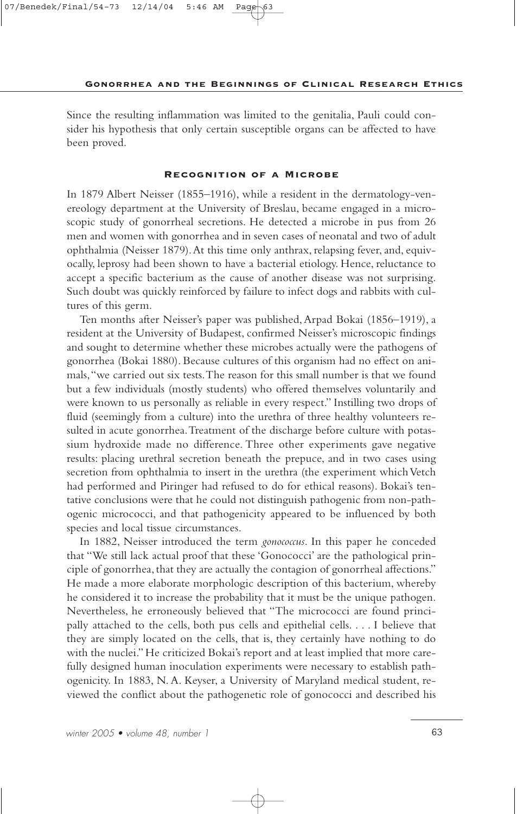Since the resulting inflammation was limited to the genitalia, Pauli could consider his hypothesis that only certain susceptible organs can be affected to have been proved.

#### Recognition of a Microbe

In 1879 Albert Neisser (1855–1916), while a resident in the dermatology-venereology department at the University of Breslau, became engaged in a microscopic study of gonorrheal secretions. He detected a microbe in pus from 26 men and women with gonorrhea and in seven cases of neonatal and two of adult ophthalmia (Neisser 1879).At this time only anthrax, relapsing fever, and, equivocally, leprosy had been shown to have a bacterial etiology. Hence, reluctance to accept a specific bacterium as the cause of another disease was not surprising. Such doubt was quickly reinforced by failure to infect dogs and rabbits with cultures of this germ.

Ten months after Neisser's paper was published, Arpad Bokai (1856–1919), a resident at the University of Budapest, confirmed Neisser's microscopic findings and sought to determine whether these microbes actually were the pathogens of gonorrhea (Bokai 1880). Because cultures of this organism had no effect on animals,"we carried out six tests.The reason for this small number is that we found but a few individuals (mostly students) who offered themselves voluntarily and were known to us personally as reliable in every respect." Instilling two drops of fluid (seemingly from a culture) into the urethra of three healthy volunteers resulted in acute gonorrhea. Treatment of the discharge before culture with potassium hydroxide made no difference. Three other experiments gave negative results: placing urethral secretion beneath the prepuce, and in two cases using secretion from ophthalmia to insert in the urethra (the experiment which Vetch had performed and Piringer had refused to do for ethical reasons). Bokai's tentative conclusions were that he could not distinguish pathogenic from non-pathogenic micrococci, and that pathogenicity appeared to be influenced by both species and local tissue circumstances.

In 1882, Neisser introduced the term *gonococcus*. In this paper he conceded that "We still lack actual proof that these 'Gonococci' are the pathological principle of gonorrhea, that they are actually the contagion of gonorrheal affections." He made a more elaborate morphologic description of this bacterium, whereby he considered it to increase the probability that it must be the unique pathogen. Nevertheless, he erroneously believed that "The micrococci are found principally attached to the cells, both pus cells and epithelial cells. . . . I believe that they are simply located on the cells, that is, they certainly have nothing to do with the nuclei." He criticized Bokai's report and at least implied that more carefully designed human inoculation experiments were necessary to establish pathogenicity. In 1883, N. A. Keyser, a University of Maryland medical student, reviewed the conflict about the pathogenetic role of gonococci and described his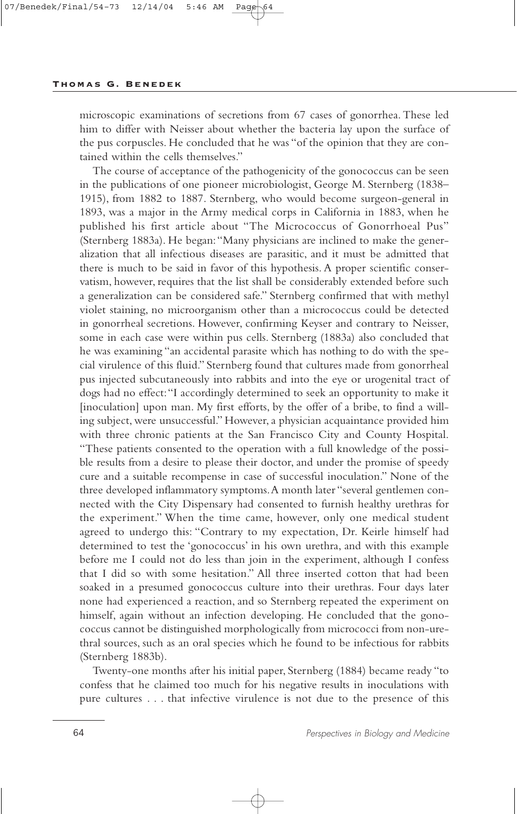microscopic examinations of secretions from 67 cases of gonorrhea. These led him to differ with Neisser about whether the bacteria lay upon the surface of the pus corpuscles. He concluded that he was "of the opinion that they are contained within the cells themselves."

The course of acceptance of the pathogenicity of the gonococcus can be seen in the publications of one pioneer microbiologist, George M. Sternberg (1838– 1915), from 1882 to 1887. Sternberg, who would become surgeon-general in 1893, was a major in the Army medical corps in California in 1883, when he published his first article about "The Micrococcus of Gonorrhoeal Pus" (Sternberg 1883a). He began:"Many physicians are inclined to make the generalization that all infectious diseases are parasitic, and it must be admitted that there is much to be said in favor of this hypothesis. A proper scientific conservatism, however, requires that the list shall be considerably extended before such a generalization can be considered safe." Sternberg confirmed that with methyl violet staining, no microorganism other than a micrococcus could be detected in gonorrheal secretions. However, confirming Keyser and contrary to Neisser, some in each case were within pus cells. Sternberg (1883a) also concluded that he was examining "an accidental parasite which has nothing to do with the special virulence of this fluid." Sternberg found that cultures made from gonorrheal pus injected subcutaneously into rabbits and into the eye or urogenital tract of dogs had no effect:"I accordingly determined to seek an opportunity to make it [inoculation] upon man. My first efforts, by the offer of a bribe, to find a willing subject, were unsuccessful." However, a physician acquaintance provided him with three chronic patients at the San Francisco City and County Hospital. "These patients consented to the operation with a full knowledge of the possible results from a desire to please their doctor, and under the promise of speedy cure and a suitable recompense in case of successful inoculation." None of the three developed inflammatory symptoms.A month later "several gentlemen connected with the City Dispensary had consented to furnish healthy urethras for the experiment." When the time came, however, only one medical student agreed to undergo this: "Contrary to my expectation, Dr. Keirle himself had determined to test the 'gonococcus' in his own urethra, and with this example before me I could not do less than join in the experiment, although I confess that I did so with some hesitation." All three inserted cotton that had been soaked in a presumed gonococcus culture into their urethras. Four days later none had experienced a reaction, and so Sternberg repeated the experiment on himself, again without an infection developing. He concluded that the gonococcus cannot be distinguished morphologically from micrococci from non-urethral sources, such as an oral species which he found to be infectious for rabbits (Sternberg 1883b).

Twenty-one months after his initial paper, Sternberg (1884) became ready "to confess that he claimed too much for his negative results in inoculations with pure cultures . . . that infective virulence is not due to the presence of this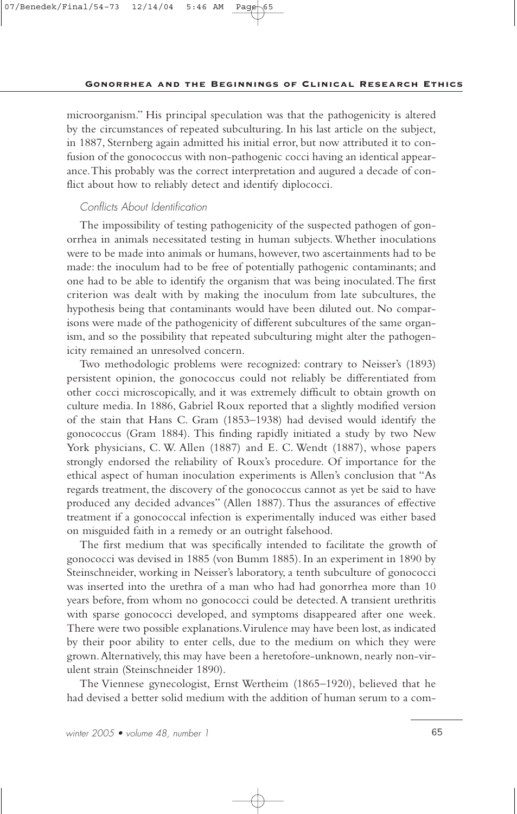microorganism." His principal speculation was that the pathogenicity is altered by the circumstances of repeated subculturing. In his last article on the subject, in 1887, Sternberg again admitted his initial error, but now attributed it to confusion of the gonococcus with non-pathogenic cocci having an identical appearance.This probably was the correct interpretation and augured a decade of conflict about how to reliably detect and identify diplococci.

## *Conflicts About Identification*

The impossibility of testing pathogenicity of the suspected pathogen of gonorrhea in animals necessitated testing in human subjects.Whether inoculations were to be made into animals or humans, however, two ascertainments had to be made: the inoculum had to be free of potentially pathogenic contaminants; and one had to be able to identify the organism that was being inoculated.The first criterion was dealt with by making the inoculum from late subcultures, the hypothesis being that contaminants would have been diluted out. No comparisons were made of the pathogenicity of different subcultures of the same organism, and so the possibility that repeated subculturing might alter the pathogenicity remained an unresolved concern.

Two methodologic problems were recognized: contrary to Neisser's (1893) persistent opinion, the gonococcus could not reliably be differentiated from other cocci microscopically, and it was extremely difficult to obtain growth on culture media. In 1886, Gabriel Roux reported that a slightly modified version of the stain that Hans C. Gram (1853–1938) had devised would identify the gonococcus (Gram 1884). This finding rapidly initiated a study by two New York physicians, C. W. Allen (1887) and E. C. Wendt (1887), whose papers strongly endorsed the reliability of Roux's procedure. Of importance for the ethical aspect of human inoculation experiments is Allen's conclusion that "As regards treatment, the discovery of the gonococcus cannot as yet be said to have produced any decided advances" (Allen 1887). Thus the assurances of effective treatment if a gonococcal infection is experimentally induced was either based on misguided faith in a remedy or an outright falsehood.

The first medium that was specifically intended to facilitate the growth of gonococci was devised in 1885 (von Bumm 1885). In an experiment in 1890 by Steinschneider, working in Neisser's laboratory, a tenth subculture of gonococci was inserted into the urethra of a man who had had gonorrhea more than 10 years before, from whom no gonococci could be detected.A transient urethritis with sparse gonococci developed, and symptoms disappeared after one week. There were two possible explanations.Virulence may have been lost, as indicated by their poor ability to enter cells, due to the medium on which they were grown.Alternatively, this may have been a heretofore-unknown, nearly non-virulent strain (Steinschneider 1890).

The Viennese gynecologist, Ernst Wertheim (1865–1920), believed that he had devised a better solid medium with the addition of human serum to a com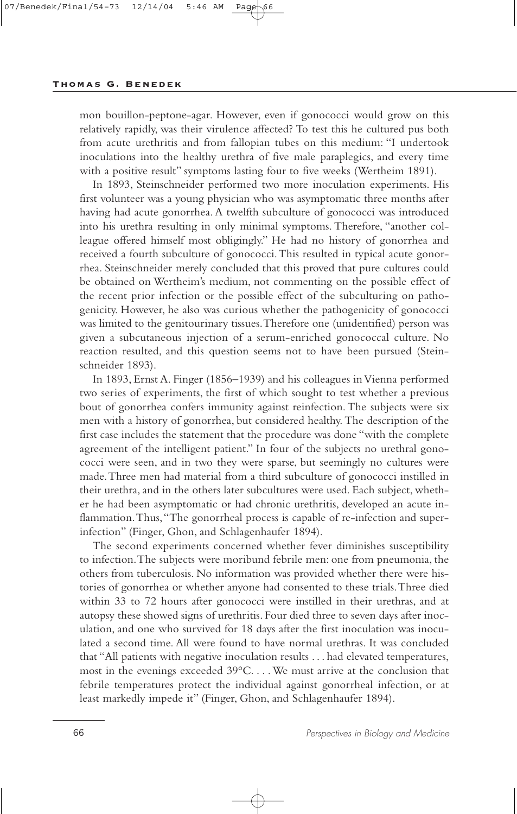mon bouillon-peptone-agar. However, even if gonococci would grow on this relatively rapidly, was their virulence affected? To test this he cultured pus both from acute urethritis and from fallopian tubes on this medium: "I undertook inoculations into the healthy urethra of five male paraplegics, and every time with a positive result" symptoms lasting four to five weeks (Wertheim 1891).

In 1893, Steinschneider performed two more inoculation experiments. His first volunteer was a young physician who was asymptomatic three months after having had acute gonorrhea. A twelfth subculture of gonococci was introduced into his urethra resulting in only minimal symptoms. Therefore, "another colleague offered himself most obligingly." He had no history of gonorrhea and received a fourth subculture of gonococci.This resulted in typical acute gonorrhea. Steinschneider merely concluded that this proved that pure cultures could be obtained on Wertheim's medium, not commenting on the possible effect of the recent prior infection or the possible effect of the subculturing on pathogenicity. However, he also was curious whether the pathogenicity of gonococci was limited to the genitourinary tissues.Therefore one (unidentified) person was given a subcutaneous injection of a serum-enriched gonococcal culture. No reaction resulted, and this question seems not to have been pursued (Steinschneider 1893).

In 1893, Ernst A. Finger (1856–1939) and his colleagues in Vienna performed two series of experiments, the first of which sought to test whether a previous bout of gonorrhea confers immunity against reinfection. The subjects were six men with a history of gonorrhea, but considered healthy. The description of the first case includes the statement that the procedure was done "with the complete agreement of the intelligent patient." In four of the subjects no urethral gonococci were seen, and in two they were sparse, but seemingly no cultures were made.Three men had material from a third subculture of gonococci instilled in their urethra, and in the others later subcultures were used. Each subject, whether he had been asymptomatic or had chronic urethritis, developed an acute inflammation. Thus, "The gonorrheal process is capable of re-infection and superinfection" (Finger, Ghon, and Schlagenhaufer 1894).

The second experiments concerned whether fever diminishes susceptibility to infection.The subjects were moribund febrile men: one from pneumonia, the others from tuberculosis. No information was provided whether there were histories of gonorrhea or whether anyone had consented to these trials.Three died within 33 to 72 hours after gonococci were instilled in their urethras, and at autopsy these showed signs of urethritis. Four died three to seven days after inoculation, and one who survived for 18 days after the first inoculation was inoculated a second time. All were found to have normal urethras. It was concluded that "All patients with negative inoculation results . . . had elevated temperatures, most in the evenings exceeded 39°C. . . . We must arrive at the conclusion that febrile temperatures protect the individual against gonorrheal infection, or at least markedly impede it" (Finger, Ghon, and Schlagenhaufer 1894).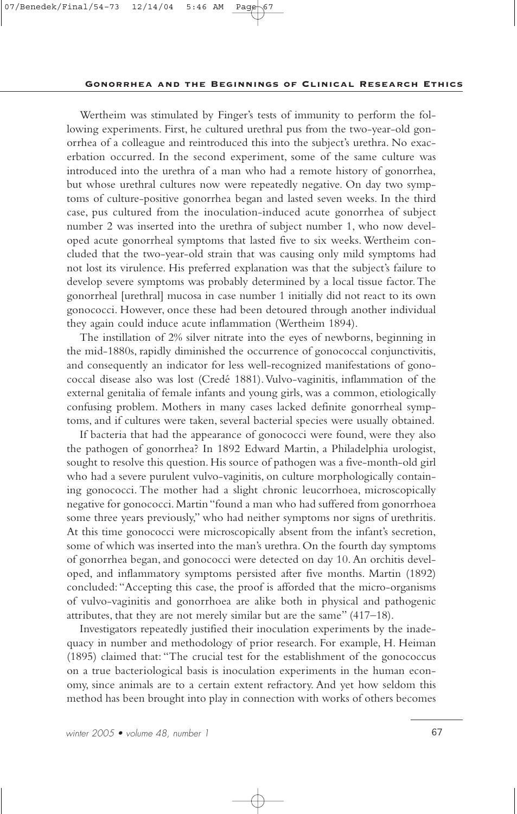Wertheim was stimulated by Finger's tests of immunity to perform the following experiments. First, he cultured urethral pus from the two-year-old gonorrhea of a colleague and reintroduced this into the subject's urethra. No exacerbation occurred. In the second experiment, some of the same culture was introduced into the urethra of a man who had a remote history of gonorrhea, but whose urethral cultures now were repeatedly negative. On day two symptoms of culture-positive gonorrhea began and lasted seven weeks. In the third case, pus cultured from the inoculation-induced acute gonorrhea of subject number 2 was inserted into the urethra of subject number 1, who now developed acute gonorrheal symptoms that lasted five to six weeks. Wertheim concluded that the two-year-old strain that was causing only mild symptoms had not lost its virulence. His preferred explanation was that the subject's failure to develop severe symptoms was probably determined by a local tissue factor.The gonorrheal [urethral] mucosa in case number 1 initially did not react to its own gonococci. However, once these had been detoured through another individual they again could induce acute inflammation (Wertheim 1894).

The instillation of 2% silver nitrate into the eyes of newborns, beginning in the mid-1880s, rapidly diminished the occurrence of gonococcal conjunctivitis, and consequently an indicator for less well-recognized manifestations of gonococcal disease also was lost (Credé 1881).Vulvo-vaginitis, inflammation of the external genitalia of female infants and young girls, was a common, etiologically confusing problem. Mothers in many cases lacked definite gonorrheal symptoms, and if cultures were taken, several bacterial species were usually obtained.

If bacteria that had the appearance of gonococci were found, were they also the pathogen of gonorrhea? In 1892 Edward Martin, a Philadelphia urologist, sought to resolve this question. His source of pathogen was a five-month-old girl who had a severe purulent vulvo-vaginitis, on culture morphologically containing gonococci. The mother had a slight chronic leucorrhoea, microscopically negative for gonococci. Martin "found a man who had suffered from gonorrhoea some three years previously," who had neither symptoms nor signs of urethritis. At this time gonococci were microscopically absent from the infant's secretion, some of which was inserted into the man's urethra. On the fourth day symptoms of gonorrhea began, and gonococci were detected on day 10. An orchitis developed, and inflammatory symptoms persisted after five months. Martin (1892) concluded: "Accepting this case, the proof is afforded that the micro-organisms of vulvo-vaginitis and gonorrhoea are alike both in physical and pathogenic attributes, that they are not merely similar but are the same" (417–18).

Investigators repeatedly justified their inoculation experiments by the inadequacy in number and methodology of prior research. For example, H. Heiman (1895) claimed that: "The crucial test for the establishment of the gonococcus on a true bacteriological basis is inoculation experiments in the human economy, since animals are to a certain extent refractory. And yet how seldom this method has been brought into play in connection with works of others becomes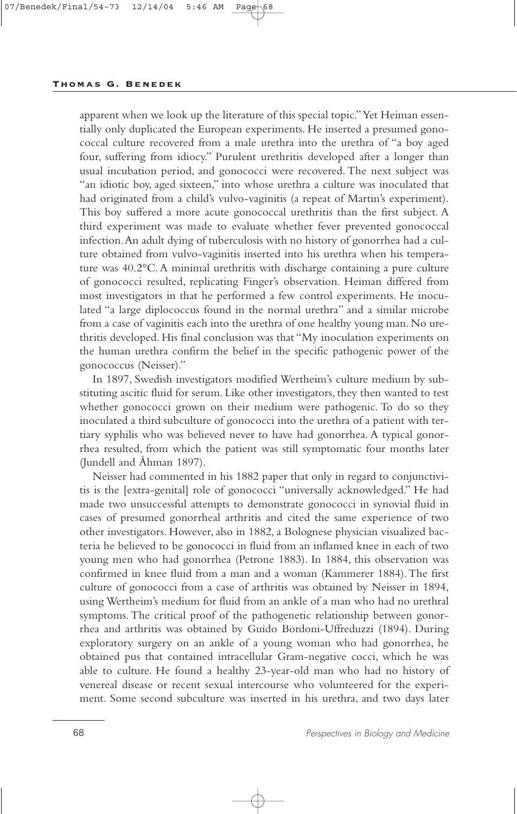apparent when we look up the literature of this special topic."Yet Heiman essentially only duplicated the European experiments. He inserted a presumed gonococcal culture recovered from a male urethra into the urethra of "a boy aged four, suffering from idiocy." Purulent urethritis developed after a longer than usual incubation period, and gonococci were recovered. The next subject was "an idiotic boy, aged sixteen," into whose urethra a culture was inoculated that had originated from a child's vulvo-vaginitis (a repeat of Martin's experiment). This boy suffered a more acute gonococcal urethritis than the first subject. A third experiment was made to evaluate whether fever prevented gonococcal infection.An adult dying of tuberculosis with no history of gonorrhea had a culture obtained from vulvo-vaginitis inserted into his urethra when his temperature was 40.2°C. A minimal urethritis with discharge containing a pure culture of gonococci resulted, replicating Finger's observation. Heiman differed from most investigators in that he performed a few control experiments. He inoculated "a large diplococcus found in the normal urethra" and a similar microbe from a case of vaginitis each into the urethra of one healthy young man. No urethritis developed. His final conclusion was that "My inoculation experiments on the human urethra confirm the belief in the specific pathogenic power of the gonococcus (Neisser)."

In 1897, Swedish investigators modified Wertheim's culture medium by substituting ascitic fluid for serum. Like other investigators, they then wanted to test whether gonococci grown on their medium were pathogenic. To do so they inoculated a third subculture of gonococci into the urethra of a patient with tertiary syphilis who was believed never to have had gonorrhea. A typical gonorrhea resulted, from which the patient was still symptomatic four months later (Jundell and Åhman 1897).

Neisser had commented in his 1882 paper that only in regard to conjunctivitis is the [extra-genital] role of gonococci "universally acknowledged." He had made two unsuccessful attempts to demonstrate gonococci in synovial fluid in cases of presumed gonorrheal arthritis and cited the same experience of two other investigators. However, also in 1882, a Bolognese physician visualized bacteria he believed to be gonococci in fluid from an inflamed knee in each of two young men who had gonorrhea (Petrone 1883). In 1884, this observation was confirmed in knee fluid from a man and a woman (Kammerer 1884).The first culture of gonococci from a case of arthritis was obtained by Neisser in 1894, using Wertheim's medium for fluid from an ankle of a man who had no urethral symptoms. The critical proof of the pathogenetic relationship between gonorrhea and arthritis was obtained by Guido Bordoni-Uffreduzzi (1894). During exploratory surgery on an ankle of a young woman who had gonorrhea, he obtained pus that contained intracellular Gram-negative cocci, which he was able to culture. He found a healthy 23-year-old man who had no history of venereal disease or recent sexual intercourse who volunteered for the experiment. Some second subculture was inserted in his urethra, and two days later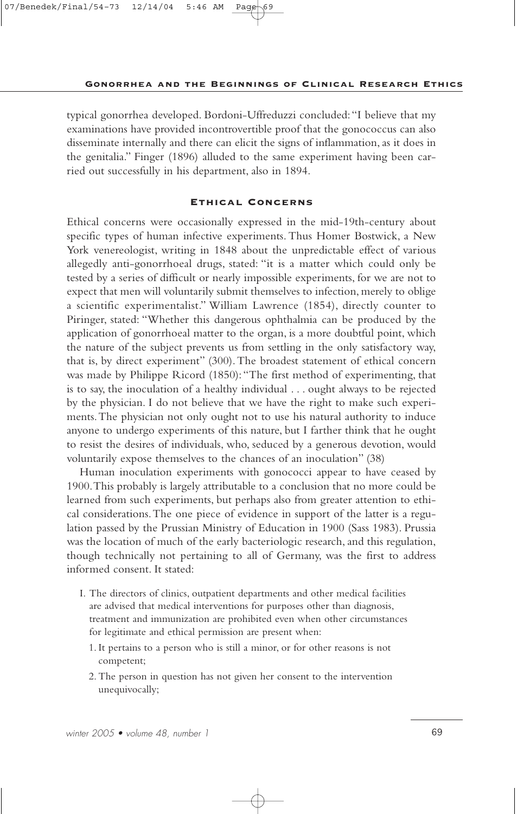typical gonorrhea developed. Bordoni-Uffreduzzi concluded:"I believe that my examinations have provided incontrovertible proof that the gonococcus can also disseminate internally and there can elicit the signs of inflammation, as it does in the genitalia." Finger (1896) alluded to the same experiment having been carried out successfully in his department, also in 1894.

## Ethical Concerns

Ethical concerns were occasionally expressed in the mid-19th-century about specific types of human infective experiments. Thus Homer Bostwick, a New York venereologist, writing in 1848 about the unpredictable effect of various allegedly anti-gonorrhoeal drugs, stated: "it is a matter which could only be tested by a series of difficult or nearly impossible experiments, for we are not to expect that men will voluntarily submit themselves to infection, merely to oblige a scientific experimentalist." William Lawrence (1854), directly counter to Piringer, stated: "Whether this dangerous ophthalmia can be produced by the application of gonorrhoeal matter to the organ, is a more doubtful point, which the nature of the subject prevents us from settling in the only satisfactory way, that is, by direct experiment" (300).The broadest statement of ethical concern was made by Philippe Ricord (1850):"The first method of experimenting, that is to say, the inoculation of a healthy individual . . . ought always to be rejected by the physician. I do not believe that we have the right to make such experiments.The physician not only ought not to use his natural authority to induce anyone to undergo experiments of this nature, but I farther think that he ought to resist the desires of individuals, who, seduced by a generous devotion, would voluntarily expose themselves to the chances of an inoculation" (38)

Human inoculation experiments with gonococci appear to have ceased by 1900.This probably is largely attributable to a conclusion that no more could be learned from such experiments, but perhaps also from greater attention to ethical considerations.The one piece of evidence in support of the latter is a regulation passed by the Prussian Ministry of Education in 1900 (Sass 1983). Prussia was the location of much of the early bacteriologic research, and this regulation, though technically not pertaining to all of Germany, was the first to address informed consent. It stated:

- I. The directors of clinics, outpatient departments and other medical facilities are advised that medical interventions for purposes other than diagnosis, treatment and immunization are prohibited even when other circumstances for legitimate and ethical permission are present when:
	- 1. It pertains to a person who is still a minor, or for other reasons is not competent;
	- 2. The person in question has not given her consent to the intervention unequivocally;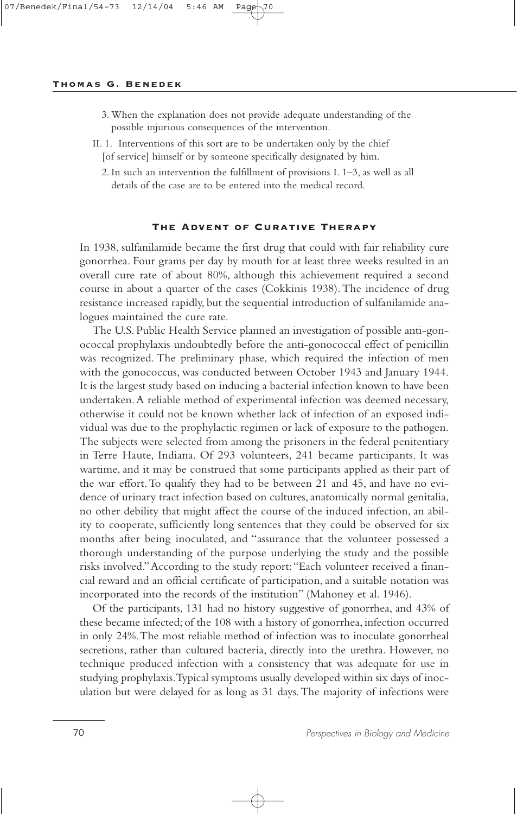- 3. When the explanation does not provide adequate understanding of the possible injurious consequences of the intervention.
- II. 1. Interventions of this sort are to be undertaken only by the chief [of service] himself or by someone specifically designated by him.
	- 2. In such an intervention the fulfillment of provisions I. 1–3, as well as all details of the case are to be entered into the medical record.

#### The Advent of Curative Therapy

In 1938, sulfanilamide became the first drug that could with fair reliability cure gonorrhea. Four grams per day by mouth for at least three weeks resulted in an overall cure rate of about 80%, although this achievement required a second course in about a quarter of the cases (Cokkinis 1938).The incidence of drug resistance increased rapidly, but the sequential introduction of sulfanilamide analogues maintained the cure rate.

The U.S. Public Health Service planned an investigation of possible anti-gonococcal prophylaxis undoubtedly before the anti-gonococcal effect of penicillin was recognized. The preliminary phase, which required the infection of men with the gonococcus, was conducted between October 1943 and January 1944. It is the largest study based on inducing a bacterial infection known to have been undertaken.A reliable method of experimental infection was deemed necessary, otherwise it could not be known whether lack of infection of an exposed individual was due to the prophylactic regimen or lack of exposure to the pathogen. The subjects were selected from among the prisoners in the federal penitentiary in Terre Haute, Indiana. Of 293 volunteers, 241 became participants. It was wartime, and it may be construed that some participants applied as their part of the war effort.To qualify they had to be between 21 and 45, and have no evidence of urinary tract infection based on cultures, anatomically normal genitalia, no other debility that might affect the course of the induced infection, an ability to cooperate, sufficiently long sentences that they could be observed for six months after being inoculated, and "assurance that the volunteer possessed a thorough understanding of the purpose underlying the study and the possible risks involved."According to the study report:"Each volunteer received a financial reward and an official certificate of participation, and a suitable notation was incorporated into the records of the institution" (Mahoney et al. 1946).

Of the participants, 131 had no history suggestive of gonorrhea, and 43% of these became infected; of the 108 with a history of gonorrhea, infection occurred in only 24%.The most reliable method of infection was to inoculate gonorrheal secretions, rather than cultured bacteria, directly into the urethra. However, no technique produced infection with a consistency that was adequate for use in studying prophylaxis.Typical symptoms usually developed within six days of inoculation but were delayed for as long as 31 days.The majority of infections were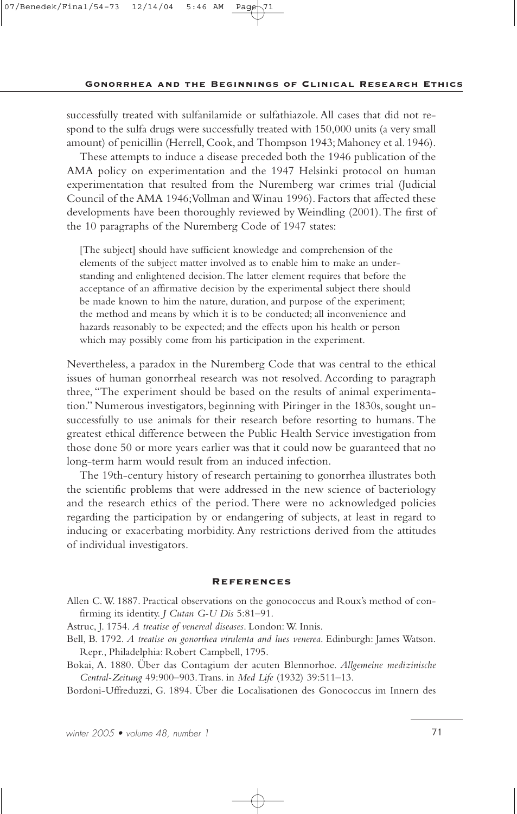successfully treated with sulfanilamide or sulfathiazole. All cases that did not respond to the sulfa drugs were successfully treated with 150,000 units (a very small amount) of penicillin (Herrell, Cook, and Thompson 1943; Mahoney et al. 1946).

These attempts to induce a disease preceded both the 1946 publication of the AMA policy on experimentation and the 1947 Helsinki protocol on human experimentation that resulted from the Nuremberg war crimes trial (Judicial Council of the AMA 1946;Vollman and Winau 1996). Factors that affected these developments have been thoroughly reviewed by Weindling (2001).The first of the 10 paragraphs of the Nuremberg Code of 1947 states:

[The subject] should have sufficient knowledge and comprehension of the elements of the subject matter involved as to enable him to make an understanding and enlightened decision.The latter element requires that before the acceptance of an affirmative decision by the experimental subject there should be made known to him the nature, duration, and purpose of the experiment; the method and means by which it is to be conducted; all inconvenience and hazards reasonably to be expected; and the effects upon his health or person which may possibly come from his participation in the experiment.

Nevertheless, a paradox in the Nuremberg Code that was central to the ethical issues of human gonorrheal research was not resolved. According to paragraph three, "The experiment should be based on the results of animal experimentation." Numerous investigators, beginning with Piringer in the 1830s, sought unsuccessfully to use animals for their research before resorting to humans. The greatest ethical difference between the Public Health Service investigation from those done 50 or more years earlier was that it could now be guaranteed that no long-term harm would result from an induced infection.

The 19th-century history of research pertaining to gonorrhea illustrates both the scientific problems that were addressed in the new science of bacteriology and the research ethics of the period. There were no acknowledged policies regarding the participation by or endangering of subjects, at least in regard to inducing or exacerbating morbidity. Any restrictions derived from the attitudes of individual investigators.

#### **REFERENCES**

- Allen C.W. 1887. Practical observations on the gonococcus and Roux's method of confirming its identity. *J Cutan G-U Dis* 5:81–91.
- Astruc, J. 1754. *A treatise of venereal diseases*. London: W. Innis.
- Bell, B. 1792. *A treatise on gonorrhea virulenta and lues venerea*. Edinburgh: James Watson. Repr., Philadelphia: Robert Campbell, 1795.
- Bokai, A. 1880. Über das Contagium der acuten Blennorhoe. *Allgemeine medizinische Central-Zeitung* 49:900–903.Trans. in *Med Life* (1932) 39:511–13.

Bordoni-Uffreduzzi, G. 1894. Über die Localisationen des Gonococcus im Innern des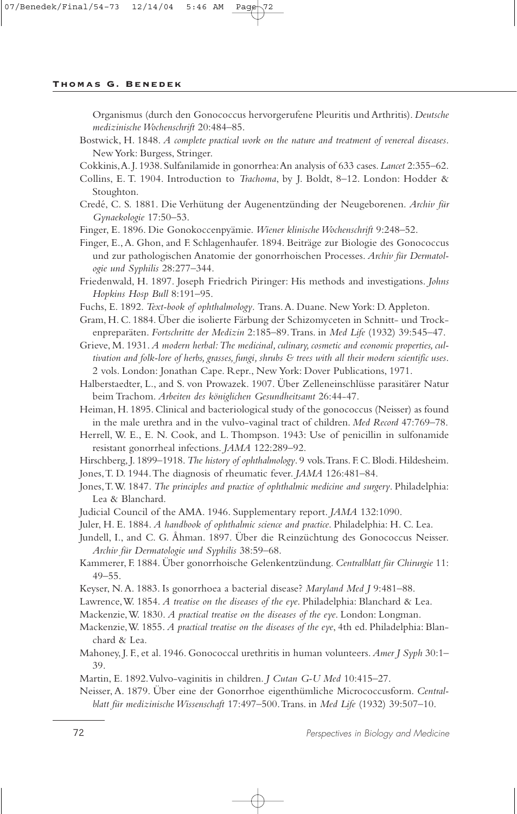Organismus (durch den Gonococcus hervorgerufene Pleuritis und Arthritis). *Deutsche medizinische Wochenschrift* 20:484–85.

- Bostwick, H. 1848. *A complete practical work on the nature and treatment of venereal diseases*. New York: Burgess, Stringer.
- Cokkinis,A. J. 1938. Sulfanilamide in gonorrhea:An analysis of 633 cases.*Lancet* 2:355–62.
- Collins, E. T. 1904. Introduction to *Trachoma*, by J. Boldt, 8–12. London: Hodder & Stoughton.
- Credé, C. S. 1881. Die Verhütung der Augenentzünding der Neugeborenen. *Archiv für Gynaekologie* 17:50–53.
- Finger, E. 1896. Die Gonokoccenpyämie. *Wiener klinische Wochenschrift* 9:248–52.
- Finger, E.,A. Ghon, and F. Schlagenhaufer. 1894. Beiträge zur Biologie des Gonococcus und zur pathologischen Anatomie der gonorrhoischen Processes. *Archiv für Dermatologie und Syphilis* 28:277–344.
- Friedenwald, H. 1897. Joseph Friedrich Piringer: His methods and investigations. *Johns Hopkins Hosp Bull* 8:191–95.
- Fuchs, E. 1892. *Text-book of ophthalmology*. Trans.A. Duane. New York: D.Appleton.
- Gram, H. C. 1884. Über die isolierte Färbung der Schizomyceten in Schnitt- und Trockenpreparäten. *Fortschritte der Medizin* 2:185–89.Trans. in *Med Life* (1932) 39:545–47.
- Grieve, M. 1931.*A modern herbal:The medicinal, culinary, cosmetic and economic properties, cultivation and folk-lore of herbs, grasses, fungi, shrubs & trees with all their modern scientific uses*. 2 vols. London: Jonathan Cape. Repr., New York: Dover Publications, 1971.
- Halberstaedter, L., and S. von Prowazek. 1907. Über Zelleneinschlüsse parasitärer Natur beim Trachom. *Arbeiten des königlichen Gesundheitsamt* 26:44-47.
- Heiman, H. 1895. Clinical and bacteriological study of the gonococcus (Neisser) as found in the male urethra and in the vulvo-vaginal tract of children. *Med Record* 47:769–78.
- Herrell, W. E., E. N. Cook, and L. Thompson. 1943: Use of penicillin in sulfonamide resistant gonorrheal infections. *JAMA* 122:289–92.
- Hirschberg, J. 1899–1918.*The history of ophthalmology*. 9 vols.Trans. F. C. Blodi. Hildesheim.
- Jones,T. D. 1944.The diagnosis of rheumatic fever. *JAMA* 126:481–84.
- Jones,T.W. 1847. *The principles and practice of ophthalmic medicine and surgery*. Philadelphia: Lea & Blanchard.
- Judicial Council of the AMA. 1946. Supplementary report. *JAMA* 132:1090.
- Juler, H. E. 1884. *A handbook of ophthalmic science and practice*. Philadelphia: H. C. Lea.
- Jundell, I., and C. G. Åhman. 1897. Über die Reinzüchtung des Gonococcus Neisser. *Archiv für Dermatologie und Syphilis* 38:59–68.
- Kammerer, F. 1884. Über gonorrhoische Gelenkentzündung. *Centralblatt für Chirurgie* 11:  $49 - 55$ .
- Keyser, N.A. 1883. Is gonorrhoea a bacterial disease? *Maryland Med J* 9:481–88.
- Lawrence,W. 1854. *A treatise on the diseases of the eye*. Philadelphia: Blanchard & Lea.
- Mackenzie,W. 1830. *A practical treatise on the diseases of the eye*. London: Longman.
- Mackenzie,W. 1855. *A practical treatise on the diseases of the eye*, 4th ed. Philadelphia: Blanchard & Lea.
- Mahoney, J. F., et al. 1946. Gonococcal urethritis in human volunteers.*Amer J Syph* 30:1– 39.
- Martin, E. 1892.Vulvo-vaginitis in children. *J Cutan G-U Med* 10:415–27.
- Neisser, A. 1879. Über eine der Gonorrhoe eigenthümliche Micrococcusform. *Centralblatt für medizinische Wissenschaft* 17:497–500.Trans. in *Med Life* (1932) 39:507–10.